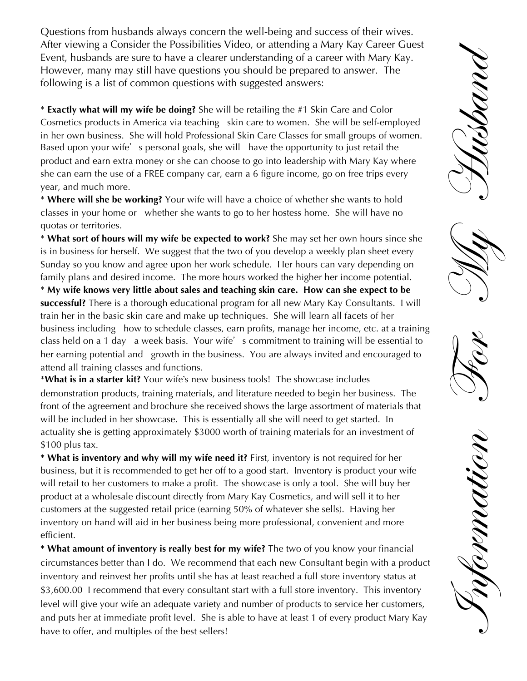Questions from husbands always concern the well-being and success of their wives. After viewing a Consider the Possibilities Video, or attending a Mary Kay Career Guest Event, husbands are sure to have a clearer understanding of a career with Mary Kay. However, many may still have questions you should be prepared to answer. The following is a list of common questions with suggested answers:

\* **Exactly what will my wife be doing?** She will be retailing the #1 Skin Care and Color Cosmetics products in America via teaching skin care to women. She will be self-employed in her own business. She will hold Professional Skin Care Classes for small groups of women. Based upon your wife's personal goals, she will have the opportunity to just retail the product and earn extra money or she can choose to go into leadership with Mary Kay where she can earn the use of a FREE company car, earn a 6 figure income, go on free trips every year, and much more.

\* **Where will she be working?** Your wife will have a choice of whether she wants to hold classes in your home or whether she wants to go to her hostess home. She will have no quotas or territories.

\* **What sort of hours will my wife be expected to work?** She may set her own hours since she is in business for herself. We suggest that the two of you develop a weekly plan sheet every Sunday so you know and agree upon her work schedule. Her hours can vary depending on family plans and desired income. The more hours worked the higher her income potential.

\* **My wife knows very little about sales and teaching skin care. How can she expect to be successful?** There is a thorough educational program for all new Mary Kay Consultants. I will train her in the basic skin care and make up techniques. She will learn all facets of her business including how to schedule classes, earn profits, manage her income, etc. at a training class held on a 1 day a week basis. Your wife's commitment to training will be essential to her earning potential and growth in the business. You are always invited and encouraged to attend all training classes and functions.

\***What is in a starter kit?** Your wifes new business tools! The showcase includes demonstration products, training materials, and literature needed to begin her business. The front of the agreement and brochure she received shows the large assortment of materials that will be included in her showcase. This is essentially all she will need to get started. In actuality she is getting approximately \$3000 worth of training materials for an investment of \$100 plus tax.

**\* What is inventory and why will my wife need it?** First, inventory is not required for her business, but it is recommended to get her off to a good start. Inventory is product your wife will retail to her customers to make a profit. The showcase is only a tool. She will buy her product at a wholesale discount directly from Mary Kay Cosmetics, and will sell it to her customers at the suggested retail price (earning 50% of whatever she sells). Having her inventory on hand will aid in her business being more professional, convenient and more efficient.

**\* What amount of inventory is really best for my wife?** The two of you know your financial circumstances better than I do. We recommend that each new Consultant begin with a product inventory and reinvest her profits until she has at least reached a full store inventory status at \$3,600.00 I recommend that every consultant start with a full store inventory. This inventory level will give your wife an adequate variety and number of products to service her customers, and puts her at immediate profit level. She is able to have at least 1 of every product Mary Kay have to offer, and multiples of the best sellers!



 Information For My HusbandORMANIO